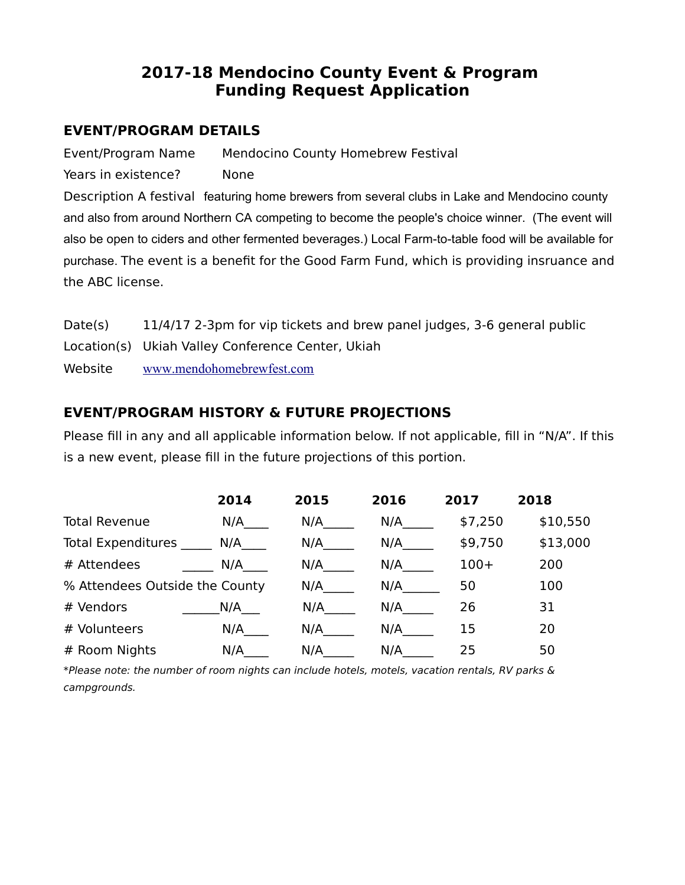# **2017-18 Mendocino County Event & Program Funding Request Application**

### **EVENT/PROGRAM DETAILS**

Event/Program Name Mendocino County Homebrew Festival Years in existence? None

Description A festival featuring home brewers from several clubs in Lake and Mendocino county and also from around Northern CA competing to become the people's choice winner. (The event will also be open to ciders and other fermented beverages.) Local Farm-to-table food will be available for purchase. The event is a benefit for the Good Farm Fund, which is providing insruance and the ABC license.

| Date(s) | 11/4/17 2-3pm for vip tickets and brew panel judges, 3-6 general public |
|---------|-------------------------------------------------------------------------|
|         | Location(s) Ukiah Valley Conference Center, Ukiah                       |
| Website | www.mendohomebrewfest.com                                               |

# **EVENT/PROGRAM HISTORY & FUTURE PROJECTIONS**

Please fill in any and all applicable information below. If not applicable, fill in "N/A". If this is a new event, please fill in the future projections of this portion.

|                                | 2014 | 2015 | 2016 | 2017    | 2018     |
|--------------------------------|------|------|------|---------|----------|
| <b>Total Revenue</b>           | N/A  | N/A  | N/A  | \$7,250 | \$10,550 |
| <b>Total Expenditures</b>      | N/A  | N/A  | N/A  | \$9,750 | \$13,000 |
| # Attendees                    | N/A  | N/A  | N/A  | $100+$  | 200      |
| % Attendees Outside the County |      | N/A  | N/A  | 50      | 100      |
| # Vendors                      | N/A  | N/A  | N/A  | 26      | 31       |
| # Volunteers                   | N/A  | N/A  | N/A  | 15      | 20       |
| # Room Nights                  | N/A  | N/A  | N/A  | 25      | 50       |

\*Please note: the number of room nights can include hotels, motels, vacation rentals, RV parks & campgrounds.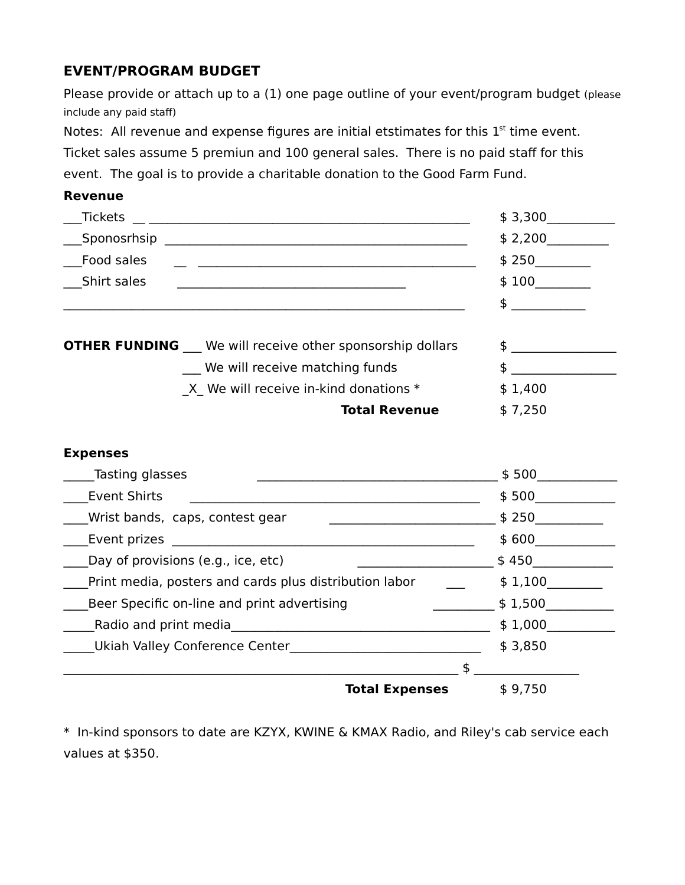# **EVENT/PROGRAM BUDGET**

Please provide or attach up to a (1) one page outline of your event/program budget (please include any paid staff)

Notes: All revenue and expense figures are initial etstimates for this  $1<sup>st</sup>$  time event.

Ticket sales assume 5 premiun and 100 general sales. There is no paid staff for this

event. The goal is to provide a charitable donation to the Good Farm Fund.

#### **Revenue**

| Tickets                                                        | \$3,300       |
|----------------------------------------------------------------|---------------|
| Sponosrhsip                                                    | \$2,200       |
| Food sales                                                     | \$250         |
| Shirt sales                                                    | \$100         |
|                                                                | $\frac{1}{2}$ |
|                                                                |               |
| <b>OTHER FUNDING</b> We will receive other sponsorship dollars | $\sim$        |
| We will receive matching funds                                 |               |
| X We will receive in-kind donations $*$                        | \$1,400       |
| <b>Total Revenue</b>                                           | \$7,250       |

#### **Expenses**

| Tasting glasses                                        | \$500   |
|--------------------------------------------------------|---------|
| <b>Event Shirts</b>                                    | \$500   |
| Wrist bands, caps, contest gear                        | \$250   |
| Event prizes                                           | \$600   |
| Day of provisions (e.g., ice, etc)                     | \$450   |
| Print media, posters and cards plus distribution labor | \$1,100 |
| Beer Specific on-line and print advertising            | \$1,500 |
| Radio and print media                                  | \$1,000 |
| Ukiah Valley Conference Center                         | \$3,850 |
| \$                                                     |         |
| <b>Total Expenses</b>                                  | \$9,750 |

\* In-kind sponsors to date are KZYX, KWINE & KMAX Radio, and Riley's cab service each values at \$350.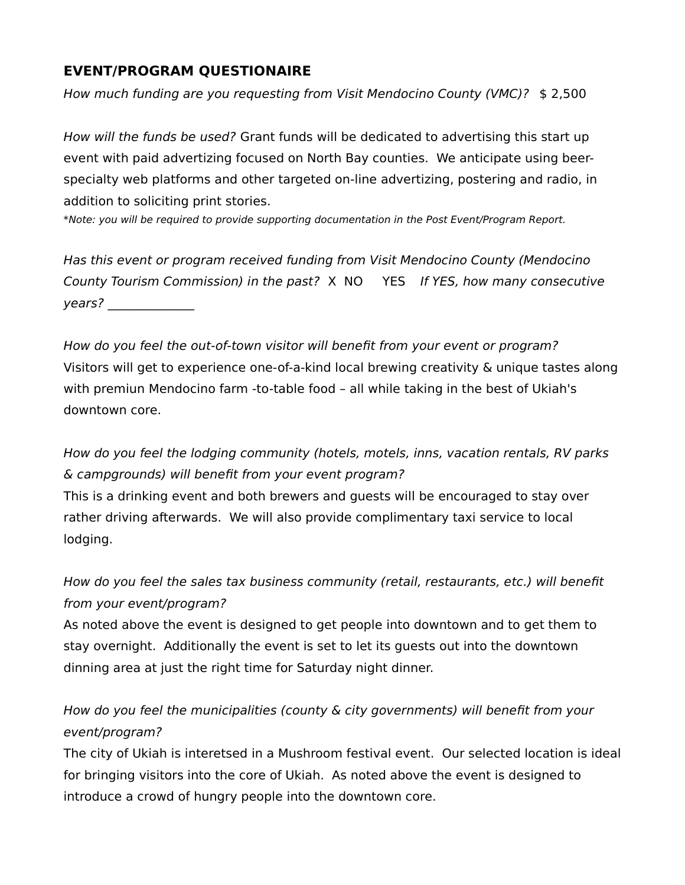# **EVENT/PROGRAM QUESTIONAIRE**

How much funding are you requesting from Visit Mendocino County (VMC)? \$ 2,500

How will the funds be used? Grant funds will be dedicated to advertising this start up event with paid advertizing focused on North Bay counties. We anticipate using beerspecialty web platforms and other targeted on-line advertizing, postering and radio, in addition to soliciting print stories.

\*Note: you will be required to provide supporting documentation in the Post Event/Program Report.

Has this event or program received funding from Visit Mendocino County (Mendocino County Tourism Commission) in the past? X NO YES If YES, how many consecutive years? \_\_\_\_\_\_\_\_\_\_\_\_\_\_

How do you feel the out-of-town visitor will benefit from your event or program? Visitors will get to experience one-of-a-kind local brewing creativity & unique tastes along with premiun Mendocino farm -to-table food – all while taking in the best of Ukiah's downtown core.

How do you feel the lodging community (hotels, motels, inns, vacation rentals, RV parks & campgrounds) will benefit from your event program?

This is a drinking event and both brewers and guests will be encouraged to stay over rather driving afterwards. We will also provide complimentary taxi service to local lodging.

How do you feel the sales tax business community (retail, restaurants, etc.) will benefit from your event/program?

As noted above the event is designed to get people into downtown and to get them to stay overnight. Additionally the event is set to let its guests out into the downtown dinning area at just the right time for Saturday night dinner.

How do you feel the municipalities (county & city governments) will benefit from your event/program?

The city of Ukiah is interetsed in a Mushroom festival event. Our selected location is ideal for bringing visitors into the core of Ukiah. As noted above the event is designed to introduce a crowd of hungry people into the downtown core.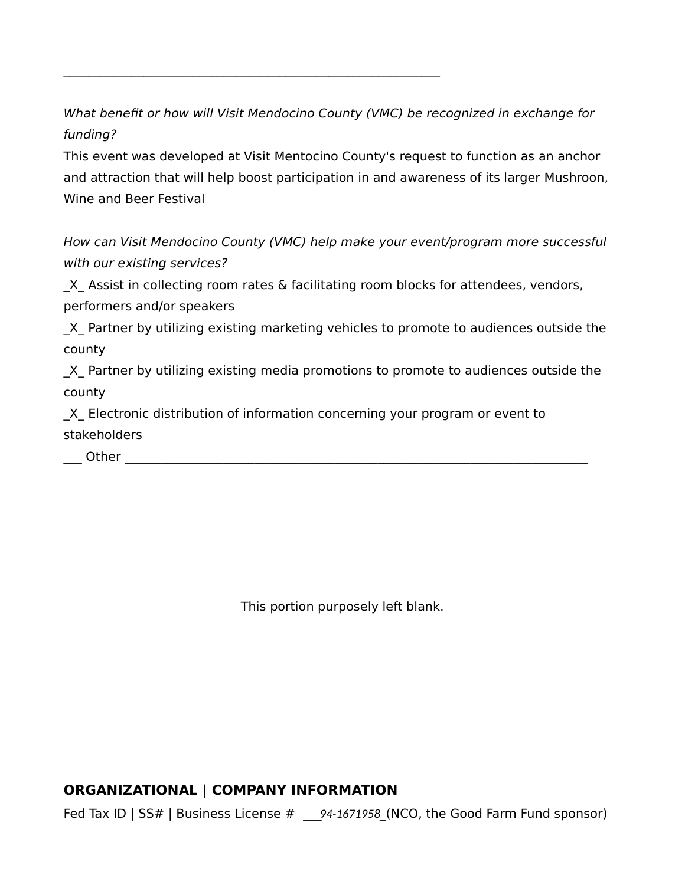What benefit or how will Visit Mendocino County (VMC) be recognized in exchange for funding?

\_\_\_\_\_\_\_\_\_\_\_\_\_\_\_\_\_\_\_\_\_\_\_\_\_\_\_\_\_\_\_\_\_\_\_\_\_\_\_\_\_\_\_\_\_\_\_\_\_\_\_\_\_\_\_\_\_\_\_\_\_

This event was developed at Visit Mentocino County's request to function as an anchor and attraction that will help boost participation in and awareness of its larger Mushroon, Wine and Beer Festival

How can Visit Mendocino County (VMC) help make your event/program more successful with our existing services?

X Assist in collecting room rates & facilitating room blocks for attendees, vendors, performers and/or speakers

X Partner by utilizing existing marketing vehicles to promote to audiences outside the county

\_X\_ Partner by utilizing existing media promotions to promote to audiences outside the county

X Electronic distribution of information concerning your program or event to stakeholders

\_\_\_ Other \_\_\_\_\_\_\_\_\_\_\_\_\_\_\_\_\_\_\_\_\_\_\_\_\_\_\_\_\_\_\_\_\_\_\_\_\_\_\_\_\_\_\_\_\_\_\_\_\_\_\_\_\_\_\_\_\_\_\_\_\_\_\_\_\_\_\_\_\_\_\_\_\_\_\_

This portion purposely left blank.

#### **ORGANIZATIONAL | COMPANY INFORMATION**

Fed Tax ID | SS# | Business License # \_\_\_*94-1671958*\_(NCO, the Good Farm Fund sponsor)